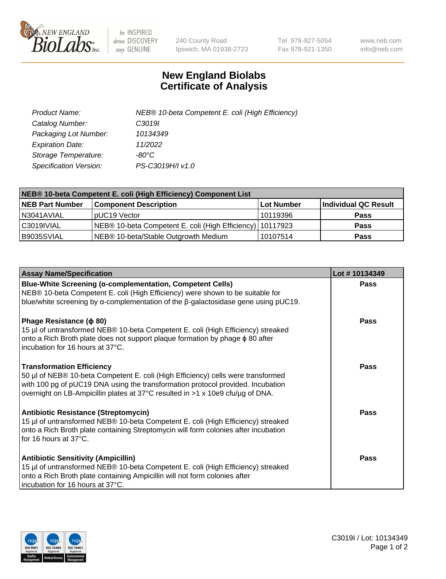

 $be$  INSPIRED drive DISCOVERY stay GENUINE

240 County Road Ipswich, MA 01938-2723 Tel 978-927-5054 Fax 978-921-1350 www.neb.com info@neb.com

## **New England Biolabs Certificate of Analysis**

| Product Name:           | NEB® 10-beta Competent E. coli (High Efficiency) |
|-------------------------|--------------------------------------------------|
| Catalog Number:         | C3019I                                           |
| Packaging Lot Number:   | 10134349                                         |
| <b>Expiration Date:</b> | 11/2022                                          |
| Storage Temperature:    | -80°C                                            |
| Specification Version:  | PS-C3019H/I v1.0                                 |

| NEB® 10-beta Competent E. coli (High Efficiency) Component List |                                                           |            |                      |  |
|-----------------------------------------------------------------|-----------------------------------------------------------|------------|----------------------|--|
| NEB Part Number                                                 | <b>Component Description</b>                              | Lot Number | Individual QC Result |  |
| N3041AVIAL                                                      | pUC19 Vector                                              | 10119396   | <b>Pass</b>          |  |
| C3019IVIAL                                                      | NEB® 10-beta Competent E. coli (High Efficiency) 10117923 |            | <b>Pass</b>          |  |
| B9035SVIAL                                                      | NEB® 10-beta/Stable Outgrowth Medium                      | 10107514   | <b>Pass</b>          |  |

| <b>Assay Name/Specification</b>                                                                                                                                                                                                                                                           | Lot #10134349 |
|-------------------------------------------------------------------------------------------------------------------------------------------------------------------------------------------------------------------------------------------------------------------------------------------|---------------|
| Blue-White Screening (α-complementation, Competent Cells)<br>NEB® 10-beta Competent E. coli (High Efficiency) were shown to be suitable for<br>blue/white screening by $\alpha$ -complementation of the $\beta$ -galactosidase gene using pUC19.                                          | <b>Pass</b>   |
| Phage Resistance ( $\phi$ 80)<br>15 µl of untransformed NEB® 10-beta Competent E. coli (High Efficiency) streaked<br>onto a Rich Broth plate does not support plaque formation by phage $\phi$ 80 after<br>incubation for 16 hours at 37°C.                                               | <b>Pass</b>   |
| <b>Transformation Efficiency</b><br>50 µl of NEB® 10-beta Competent E. coli (High Efficiency) cells were transformed<br>with 100 pg of pUC19 DNA using the transformation protocol provided. Incubation<br>overnight on LB-Ampicillin plates at 37°C resulted in >1 x 10e9 cfu/µg of DNA. | Pass          |
| <b>Antibiotic Resistance (Streptomycin)</b><br>15 µl of untransformed NEB® 10-beta Competent E. coli (High Efficiency) streaked<br>onto a Rich Broth plate containing Streptomycin will form colonies after incubation<br>for 16 hours at 37°C.                                           | Pass          |
| <b>Antibiotic Sensitivity (Ampicillin)</b><br>15 µl of untransformed NEB® 10-beta Competent E. coli (High Efficiency) streaked<br>onto a Rich Broth plate containing Ampicillin will not form colonies after<br>incubation for 16 hours at 37°C.                                          | Pass          |